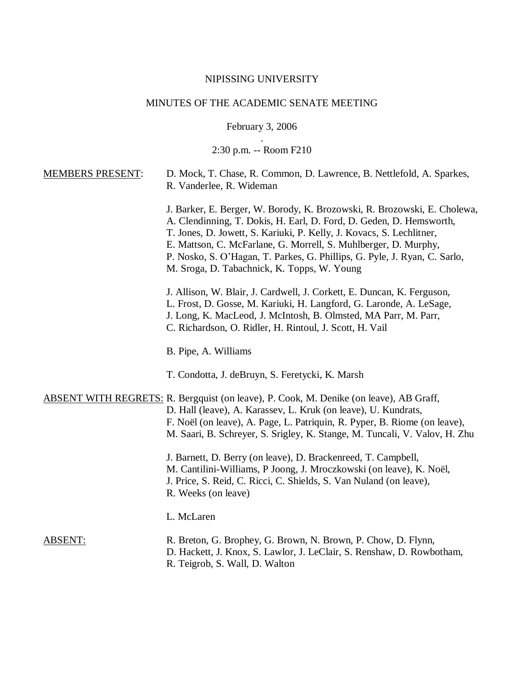# NIPISSING UNIVERSITY

# MINUTES OF THE ACADEMIC SENATE MEETING

February 3, 2006

. 2:30 p.m. -- Room F210

| <b>MEMBERS PRESENT:</b> | D. Mock, T. Chase, R. Common, D. Lawrence, B. Nettlefold, A. Sparkes,<br>R. Vanderlee, R. Wideman                                                                                                                                                                                                                                                                                                                      |
|-------------------------|------------------------------------------------------------------------------------------------------------------------------------------------------------------------------------------------------------------------------------------------------------------------------------------------------------------------------------------------------------------------------------------------------------------------|
|                         | J. Barker, E. Berger, W. Borody, K. Brozowski, R. Brozowski, E. Cholewa,<br>A. Clendinning, T. Dokis, H. Earl, D. Ford, D. Geden, D. Hemsworth,<br>T. Jones, D. Jowett, S. Kariuki, P. Kelly, J. Kovacs, S. Lechlitner,<br>E. Mattson, C. McFarlane, G. Morrell, S. Muhlberger, D. Murphy,<br>P. Nosko, S. O'Hagan, T. Parkes, G. Phillips, G. Pyle, J. Ryan, C. Sarlo,<br>M. Sroga, D. Tabachnick, K. Topps, W. Young |
|                         | J. Allison, W. Blair, J. Cardwell, J. Corkett, E. Duncan, K. Ferguson,<br>L. Frost, D. Gosse, M. Kariuki, H. Langford, G. Laronde, A. LeSage,<br>J. Long, K. MacLeod, J. McIntosh, B. Olmsted, MA Parr, M. Parr,<br>C. Richardson, O. Ridler, H. Rintoul, J. Scott, H. Vail                                                                                                                                            |
|                         | B. Pipe, A. Williams                                                                                                                                                                                                                                                                                                                                                                                                   |
|                         | T. Condotta, J. deBruyn, S. Feretycki, K. Marsh                                                                                                                                                                                                                                                                                                                                                                        |
|                         | <b>ABSENT WITH REGRETS: R. Bergquist (on leave), P. Cook, M. Denike (on leave), AB Graff,</b><br>D. Hall (leave), A. Karassev, L. Kruk (on leave), U. Kundrats,<br>F. Noël (on leave), A. Page, L. Patriquin, R. Pyper, B. Riome (on leave),<br>M. Saari, B. Schreyer, S. Srigley, K. Stange, M. Tuncali, V. Valov, H. Zhu                                                                                             |
|                         | J. Barnett, D. Berry (on leave), D. Brackenreed, T. Campbell,<br>M. Cantilini-Williams, P Joong, J. Mroczkowski (on leave), K. Noël,<br>J. Price, S. Reid, C. Ricci, C. Shields, S. Van Nuland (on leave),<br>R. Weeks (on leave)                                                                                                                                                                                      |
|                         | L. McLaren                                                                                                                                                                                                                                                                                                                                                                                                             |
| <b>ABSENT:</b>          | R. Breton, G. Brophey, G. Brown, N. Brown, P. Chow, D. Flynn,<br>D. Hackett, J. Knox, S. Lawlor, J. LeClair, S. Renshaw, D. Rowbotham,<br>R. Teigrob, S. Wall, D. Walton                                                                                                                                                                                                                                               |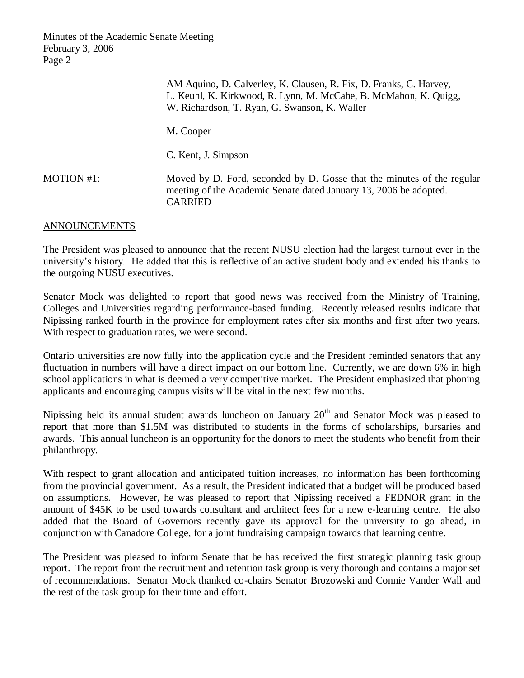|            | AM Aquino, D. Calverley, K. Clausen, R. Fix, D. Franks, C. Harvey,<br>L. Keuhl, K. Kirkwood, R. Lynn, M. McCabe, B. McMahon, K. Quigg,<br>W. Richardson, T. Ryan, G. Swanson, K. Waller |
|------------|-----------------------------------------------------------------------------------------------------------------------------------------------------------------------------------------|
|            | M. Cooper                                                                                                                                                                               |
|            | C. Kent, J. Simpson                                                                                                                                                                     |
| MOTION #1: | Moved by D. Ford, seconded by D. Gosse that the minutes of the regular<br>meeting of the Academic Senate dated January 13, 2006 be adopted.<br><b>CARRIED</b>                           |

#### ANNOUNCEMENTS

The President was pleased to announce that the recent NUSU election had the largest turnout ever in the university's history. He added that this is reflective of an active student body and extended his thanks to the outgoing NUSU executives.

Senator Mock was delighted to report that good news was received from the Ministry of Training, Colleges and Universities regarding performance-based funding. Recently released results indicate that Nipissing ranked fourth in the province for employment rates after six months and first after two years. With respect to graduation rates, we were second.

Ontario universities are now fully into the application cycle and the President reminded senators that any fluctuation in numbers will have a direct impact on our bottom line. Currently, we are down 6% in high school applications in what is deemed a very competitive market. The President emphasized that phoning applicants and encouraging campus visits will be vital in the next few months.

Nipissing held its annual student awards luncheon on January 20<sup>th</sup> and Senator Mock was pleased to report that more than \$1.5M was distributed to students in the forms of scholarships, bursaries and awards. This annual luncheon is an opportunity for the donors to meet the students who benefit from their philanthropy.

With respect to grant allocation and anticipated tuition increases, no information has been forthcoming from the provincial government. As a result, the President indicated that a budget will be produced based on assumptions. However, he was pleased to report that Nipissing received a FEDNOR grant in the amount of \$45K to be used towards consultant and architect fees for a new e-learning centre. He also added that the Board of Governors recently gave its approval for the university to go ahead, in conjunction with Canadore College, for a joint fundraising campaign towards that learning centre.

The President was pleased to inform Senate that he has received the first strategic planning task group report. The report from the recruitment and retention task group is very thorough and contains a major set of recommendations. Senator Mock thanked co-chairs Senator Brozowski and Connie Vander Wall and the rest of the task group for their time and effort.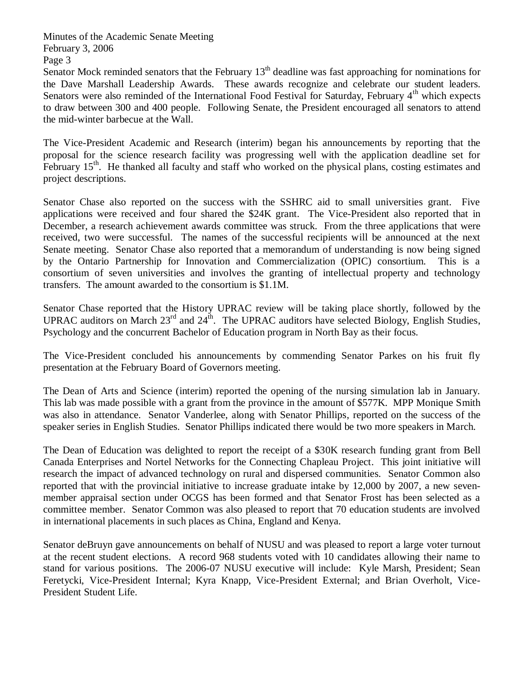Senator Mock reminded senators that the February  $13<sup>th</sup>$  deadline was fast approaching for nominations for the Dave Marshall Leadership Awards. These awards recognize and celebrate our student leaders. Senators were also reminded of the International Food Festival for Saturday, February 4<sup>th</sup> which expects to draw between 300 and 400 people. Following Senate, the President encouraged all senators to attend the mid-winter barbecue at the Wall.

The Vice-President Academic and Research (interim) began his announcements by reporting that the proposal for the science research facility was progressing well with the application deadline set for February 15<sup>th</sup>. He thanked all faculty and staff who worked on the physical plans, costing estimates and project descriptions.

Senator Chase also reported on the success with the SSHRC aid to small universities grant. Five applications were received and four shared the \$24K grant. The Vice-President also reported that in December, a research achievement awards committee was struck. From the three applications that were received, two were successful. The names of the successful recipients will be announced at the next Senate meeting. Senator Chase also reported that a memorandum of understanding is now being signed by the Ontario Partnership for Innovation and Commercialization (OPIC) consortium. This is a consortium of seven universities and involves the granting of intellectual property and technology transfers. The amount awarded to the consortium is \$1.1M.

Senator Chase reported that the History UPRAC review will be taking place shortly, followed by the UPRAC auditors on March  $23^{\text{rd}}$  and  $24^{\text{th}}$ . The UPRAC auditors have selected Biology, English Studies, Psychology and the concurrent Bachelor of Education program in North Bay as their focus.

The Vice-President concluded his announcements by commending Senator Parkes on his fruit fly presentation at the February Board of Governors meeting.

The Dean of Arts and Science (interim) reported the opening of the nursing simulation lab in January. This lab was made possible with a grant from the province in the amount of \$577K. MPP Monique Smith was also in attendance. Senator Vanderlee, along with Senator Phillips, reported on the success of the speaker series in English Studies. Senator Phillips indicated there would be two more speakers in March.

The Dean of Education was delighted to report the receipt of a \$30K research funding grant from Bell Canada Enterprises and Nortel Networks for the Connecting Chapleau Project. This joint initiative will research the impact of advanced technology on rural and dispersed communities. Senator Common also reported that with the provincial initiative to increase graduate intake by 12,000 by 2007, a new sevenmember appraisal section under OCGS has been formed and that Senator Frost has been selected as a committee member. Senator Common was also pleased to report that 70 education students are involved in international placements in such places as China, England and Kenya.

Senator deBruyn gave announcements on behalf of NUSU and was pleased to report a large voter turnout at the recent student elections. A record 968 students voted with 10 candidates allowing their name to stand for various positions. The 2006-07 NUSU executive will include: Kyle Marsh, President; Sean Feretycki, Vice-President Internal; Kyra Knapp, Vice-President External; and Brian Overholt, Vice-President Student Life.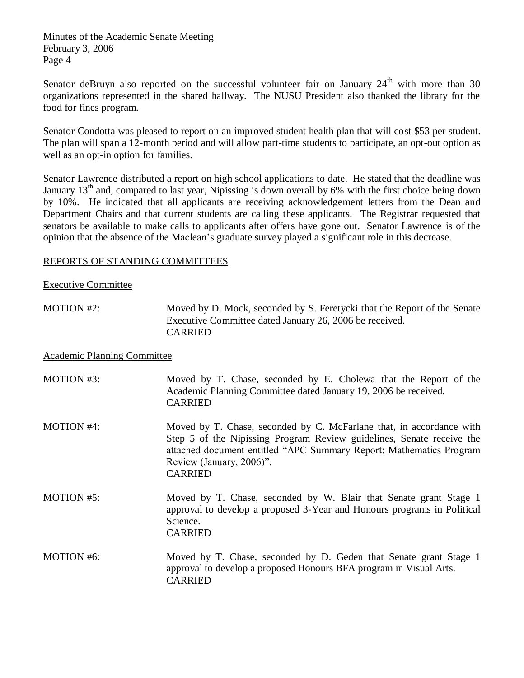Senator deBruyn also reported on the successful volunteer fair on January  $24<sup>th</sup>$  with more than 30 organizations represented in the shared hallway. The NUSU President also thanked the library for the food for fines program.

Senator Condotta was pleased to report on an improved student health plan that will cost \$53 per student. The plan will span a 12-month period and will allow part-time students to participate, an opt-out option as well as an opt-in option for families.

Senator Lawrence distributed a report on high school applications to date. He stated that the deadline was January  $13<sup>th</sup>$  and, compared to last year, Nipissing is down overall by 6% with the first choice being down by 10%. He indicated that all applicants are receiving acknowledgement letters from the Dean and Department Chairs and that current students are calling these applicants. The Registrar requested that senators be available to make calls to applicants after offers have gone out. Senator Lawrence is of the opinion that the absence of the Maclean's graduate survey played a significant role in this decrease.

## REPORTS OF STANDING COMMITTEES

#### Executive Committee

MOTION #2: Moved by D. Mock, seconded by S. Feretycki that the Report of the Senate Executive Committee dated January 26, 2006 be received. CARRIED

#### Academic Planning Committee

| MOTION #3:        | Moved by T. Chase, seconded by E. Cholewa that the Report of the<br>Academic Planning Committee dated January 19, 2006 be received.<br><b>CARRIED</b>                                                                                                              |
|-------------------|--------------------------------------------------------------------------------------------------------------------------------------------------------------------------------------------------------------------------------------------------------------------|
| <b>MOTION #4:</b> | Moved by T. Chase, seconded by C. McFarlane that, in accordance with<br>Step 5 of the Nipissing Program Review guidelines, Senate receive the<br>attached document entitled "APC Summary Report: Mathematics Program<br>Review (January, 2006)".<br><b>CARRIED</b> |
| MOTION #5:        | Moved by T. Chase, seconded by W. Blair that Senate grant Stage 1<br>approval to develop a proposed 3-Year and Honours programs in Political<br>Science.<br><b>CARRIED</b>                                                                                         |
| MOTION #6:        | Moved by T. Chase, seconded by D. Geden that Senate grant Stage 1<br>approval to develop a proposed Honours BFA program in Visual Arts.<br><b>CARRIED</b>                                                                                                          |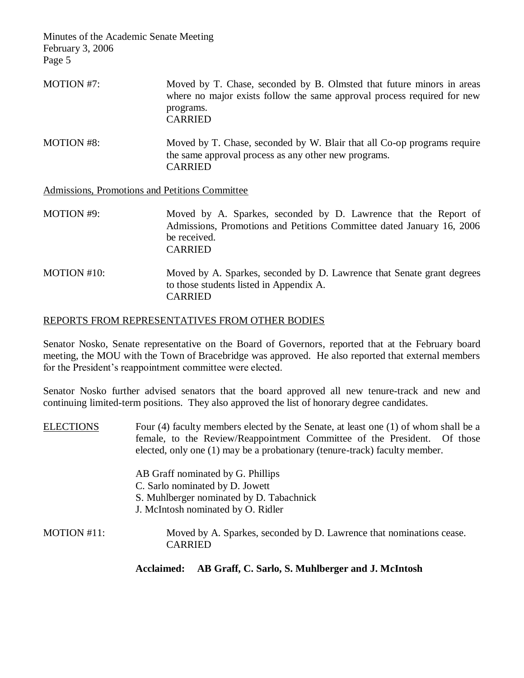| <b>MOTION #7:</b>                              | Moved by T. Chase, seconded by B. Olmsted that future minors in areas<br>where no major exists follow the same approval process required for new<br>programs.<br><b>CARRIED</b> |
|------------------------------------------------|---------------------------------------------------------------------------------------------------------------------------------------------------------------------------------|
| <b>MOTION #8:</b>                              | Moved by T. Chase, seconded by W. Blair that all Co-op programs require<br>the same approval process as any other new programs.<br><b>CARRIED</b>                               |
| Admissions, Promotions and Petitions Committee |                                                                                                                                                                                 |

MOTION #9: Moved by A. Sparkes, seconded by D. Lawrence that the Report of Admissions, Promotions and Petitions Committee dated January 16, 2006 be received. CARRIED

MOTION #10: Moved by A. Sparkes, seconded by D. Lawrence that Senate grant degrees to those students listed in Appendix A. CARRIED

#### REPORTS FROM REPRESENTATIVES FROM OTHER BODIES

Senator Nosko, Senate representative on the Board of Governors, reported that at the February board meeting, the MOU with the Town of Bracebridge was approved. He also reported that external members for the President's reappointment committee were elected.

Senator Nosko further advised senators that the board approved all new tenure-track and new and continuing limited-term positions. They also approved the list of honorary degree candidates.

| <b>ELECTIONS</b> | Four (4) faculty members elected by the Senate, at least one (1) of whom shall be a<br>female, to the Review/Reappointment Committee of the President. Of those<br>elected, only one (1) may be a probationary (tenure-track) faculty member. |  |
|------------------|-----------------------------------------------------------------------------------------------------------------------------------------------------------------------------------------------------------------------------------------------|--|
|                  | AB Graff nominated by G. Phillips                                                                                                                                                                                                             |  |
|                  | C. Sarlo nominated by D. Jowett                                                                                                                                                                                                               |  |
|                  | S. Muhlberger nominated by D. Tabachnick                                                                                                                                                                                                      |  |
|                  | J. McIntosh nominated by O. Ridler                                                                                                                                                                                                            |  |
| MOTION #11:      | Moved by A. Sparkes, seconded by D. Lawrence that nominations cease.<br><b>CARRIED</b>                                                                                                                                                        |  |
|                  | AB Graff, C. Sarlo, S. Muhlberger and J. McIntosh<br>Acclaimed:                                                                                                                                                                               |  |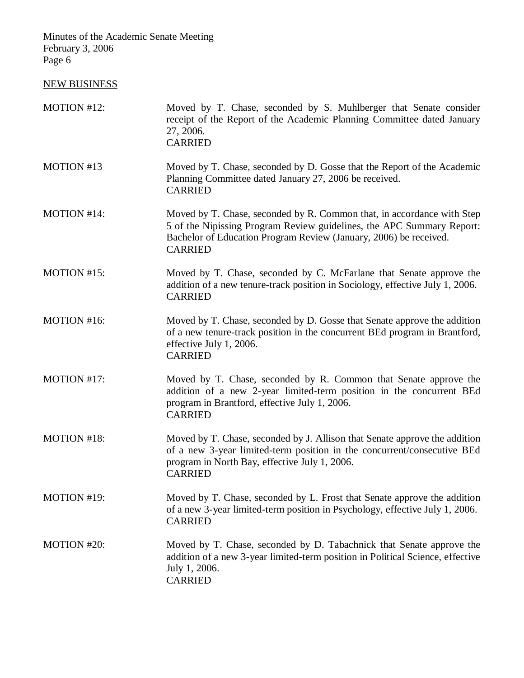# NEW BUSINESS

| MOTION #12: | Moved by T. Chase, seconded by S. Muhlberger that Senate consider<br>receipt of the Report of the Academic Planning Committee dated January<br>27, 2006.<br><b>CARRIED</b>                                                             |
|-------------|----------------------------------------------------------------------------------------------------------------------------------------------------------------------------------------------------------------------------------------|
| MOTION #13  | Moved by T. Chase, seconded by D. Gosse that the Report of the Academic<br>Planning Committee dated January 27, 2006 be received.<br><b>CARRIED</b>                                                                                    |
| MOTION #14: | Moved by T. Chase, seconded by R. Common that, in accordance with Step<br>5 of the Nipissing Program Review guidelines, the APC Summary Report:<br>Bachelor of Education Program Review (January, 2006) be received.<br><b>CARRIED</b> |
| MOTION #15: | Moved by T. Chase, seconded by C. McFarlane that Senate approve the<br>addition of a new tenure-track position in Sociology, effective July 1, 2006.<br><b>CARRIED</b>                                                                 |
| MOTION #16: | Moved by T. Chase, seconded by D. Gosse that Senate approve the addition<br>of a new tenure-track position in the concurrent BEd program in Brantford,<br>effective July 1, 2006.<br><b>CARRIED</b>                                    |
| MOTION #17: | Moved by T. Chase, seconded by R. Common that Senate approve the<br>addition of a new 2-year limited-term position in the concurrent BEd<br>program in Brantford, effective July 1, 2006.<br><b>CARRIED</b>                            |
| MOTION #18: | Moved by T. Chase, seconded by J. Allison that Senate approve the addition<br>of a new 3-year limited-term position in the concurrent/consecutive BEd<br>program in North Bay, effective July 1, 2006.<br><b>CARRIED</b>               |
| MOTION #19: | Moved by T. Chase, seconded by L. Frost that Senate approve the addition<br>of a new 3-year limited-term position in Psychology, effective July 1, 2006.<br><b>CARRIED</b>                                                             |
| MOTION #20: | Moved by T. Chase, seconded by D. Tabachnick that Senate approve the<br>addition of a new 3-year limited-term position in Political Science, effective<br>July 1, 2006.<br><b>CARRIED</b>                                              |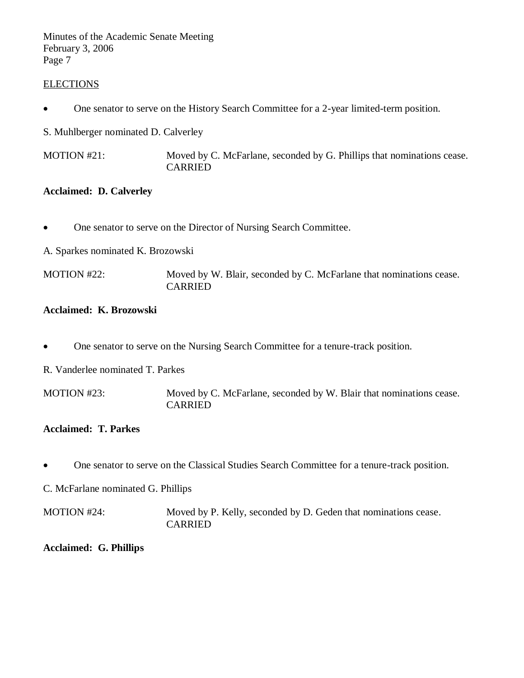#### **ELECTIONS**

One senator to serve on the History Search Committee for a 2-year limited-term position.

S. Muhlberger nominated D. Calverley

MOTION #21: Moved by C. McFarlane, seconded by G. Phillips that nominations cease. CARRIED

#### **Acclaimed: D. Calverley**

- One senator to serve on the Director of Nursing Search Committee.
- A. Sparkes nominated K. Brozowski

MOTION #22: Moved by W. Blair, seconded by C. McFarlane that nominations cease. CARRIED

#### **Acclaimed: K. Brozowski**

- One senator to serve on the Nursing Search Committee for a tenure-track position.
- R. Vanderlee nominated T. Parkes

MOTION #23: Moved by C. McFarlane, seconded by W. Blair that nominations cease. CARRIED

## **Acclaimed: T. Parkes**

One senator to serve on the Classical Studies Search Committee for a tenure-track position.

C. McFarlane nominated G. Phillips

MOTION #24: Moved by P. Kelly, seconded by D. Geden that nominations cease. CARRIED

**Acclaimed: G. Phillips**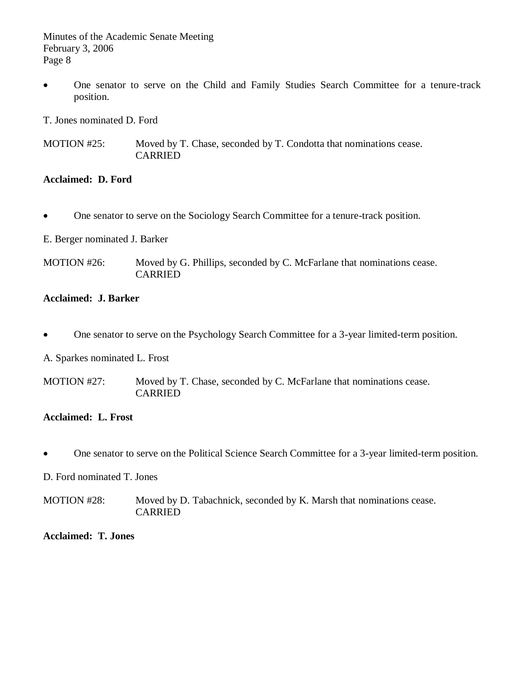One senator to serve on the Child and Family Studies Search Committee for a tenure-track position.

T. Jones nominated D. Ford

MOTION #25: Moved by T. Chase, seconded by T. Condotta that nominations cease. CARRIED

## **Acclaimed: D. Ford**

One senator to serve on the Sociology Search Committee for a tenure-track position.

E. Berger nominated J. Barker

MOTION #26: Moved by G. Phillips, seconded by C. McFarlane that nominations cease. CARRIED

# **Acclaimed: J. Barker**

• One senator to serve on the Psychology Search Committee for a 3-year limited-term position.

A. Sparkes nominated L. Frost

MOTION #27: Moved by T. Chase, seconded by C. McFarlane that nominations cease. CARRIED

## **Acclaimed: L. Frost**

One senator to serve on the Political Science Search Committee for a 3-year limited-term position.

#### D. Ford nominated T. Jones

MOTION #28: Moved by D. Tabachnick, seconded by K. Marsh that nominations cease. CARRIED

#### **Acclaimed: T. Jones**